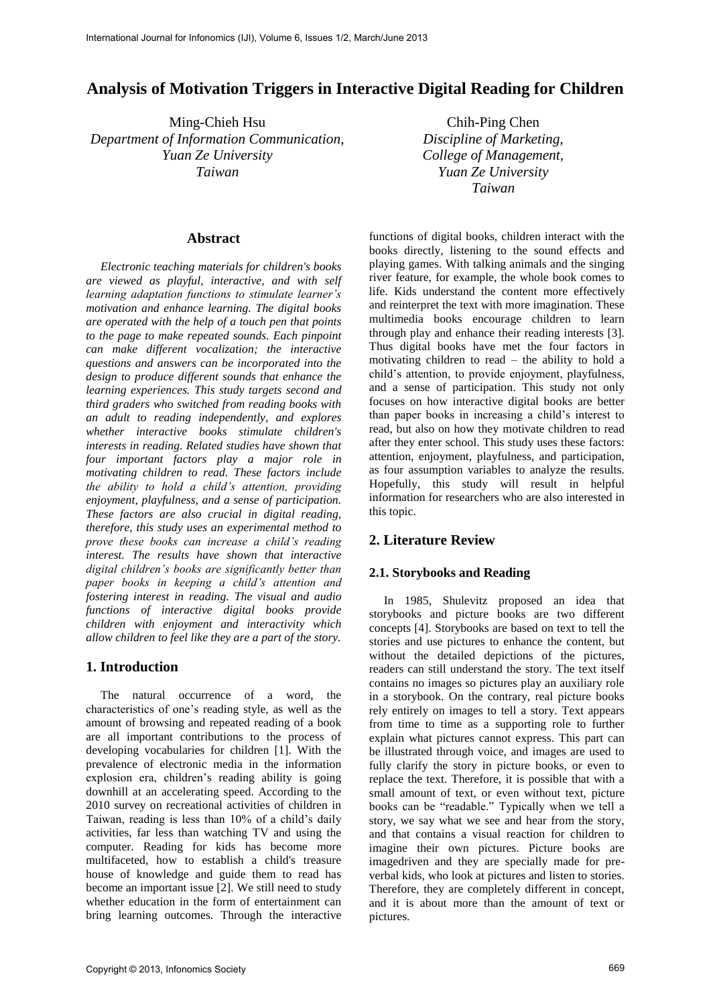# **Analysis of Motivation Triggers in Interactive Digital Reading for Children**

Ming-Chieh Hsu *Department of Information Communication, Yuan Ze University Taiwan*

#### **Abstract**

*Electronic teaching materials for children's books are viewed as playful, interactive, and with self learning adaptation functions to stimulate learner's motivation and enhance learning. The digital books are operated with the help of a touch pen that points to the page to make repeated sounds. Each pinpoint can make different vocalization; the interactive questions and answers can be incorporated into the design to produce different sounds that enhance the learning experiences. This study targets second and third graders who switched from reading books with an adult to reading independently, and explores whether interactive books stimulate children's interests in reading. Related studies have shown that four important factors play a major role in motivating children to read. These factors include the ability to hold a child's attention, providing enjoyment, playfulness, and a sense of participation. These factors are also crucial in digital reading, therefore, this study uses an experimental method to prove these books can increase a child's reading interest. The results have shown that interactive digital children's books are significantly better than paper books in keeping a child's attention and fostering interest in reading. The visual and audio functions of interactive digital books provide children with enjoyment and interactivity which allow children to feel like they are a part of the story.* 

### **1. Introduction**

The natural occurrence of a word, the characteristics of one's reading style, as well as the amount of browsing and repeated reading of a book are all important contributions to the process of developing vocabularies for children [1]. With the prevalence of electronic media in the information explosion era, children's reading ability is going downhill at an accelerating speed. According to the 2010 survey on recreational activities of children in Taiwan, reading is less than 10% of a child's daily activities, far less than watching TV and using the computer. Reading for kids has become more multifaceted, how to establish a child's treasure house of knowledge and guide them to read has become an important issue [2]. We still need to study whether education in the form of entertainment can bring learning outcomes. Through the interactive

Chih-Ping Chen *Discipline of Marketing, College of Management, Yuan Ze University Taiwan*

functions of digital books, children interact with the books directly, listening to the sound effects and playing games. With talking animals and the singing river feature, for example, the whole book comes to life. Kids understand the content more effectively and reinterpret the text with more imagination. These multimedia books encourage children to learn through play and enhance their reading interests [3]. Thus digital books have met the four factors in motivating children to read – the ability to hold a child's attention, to provide enjoyment, playfulness, and a sense of participation. This study not only focuses on how interactive digital books are better than paper books in increasing a child's interest to read, but also on how they motivate children to read after they enter school. This study uses these factors: attention, enjoyment, playfulness, and participation, as four assumption variables to analyze the results. Hopefully, this study will result in helpful information for researchers who are also interested in this topic.

### **2. Literature Review**

#### **2.1. Storybooks and Reading**

In 1985, Shulevitz proposed an idea that storybooks and picture books are two different concepts [4]. Storybooks are based on text to tell the stories and use pictures to enhance the content, but without the detailed depictions of the pictures, readers can still understand the story. The text itself contains no images so pictures play an auxiliary role in a storybook. On the contrary, real picture books rely entirely on images to tell a story. Text appears from time to time as a supporting role to further explain what pictures cannot express. This part can be illustrated through voice, and images are used to fully clarify the story in picture books, or even to replace the text. Therefore, it is possible that with a small amount of text, or even without text, picture books can be "readable." Typically when we tell a story, we say what we see and hear from the story, and that contains a visual reaction for children to imagine their own pictures. Picture books are imagedriven and they are specially made for preverbal kids, who look at pictures and listen to stories. Therefore, they are completely different in concept, and it is about more than the amount of text or pictures.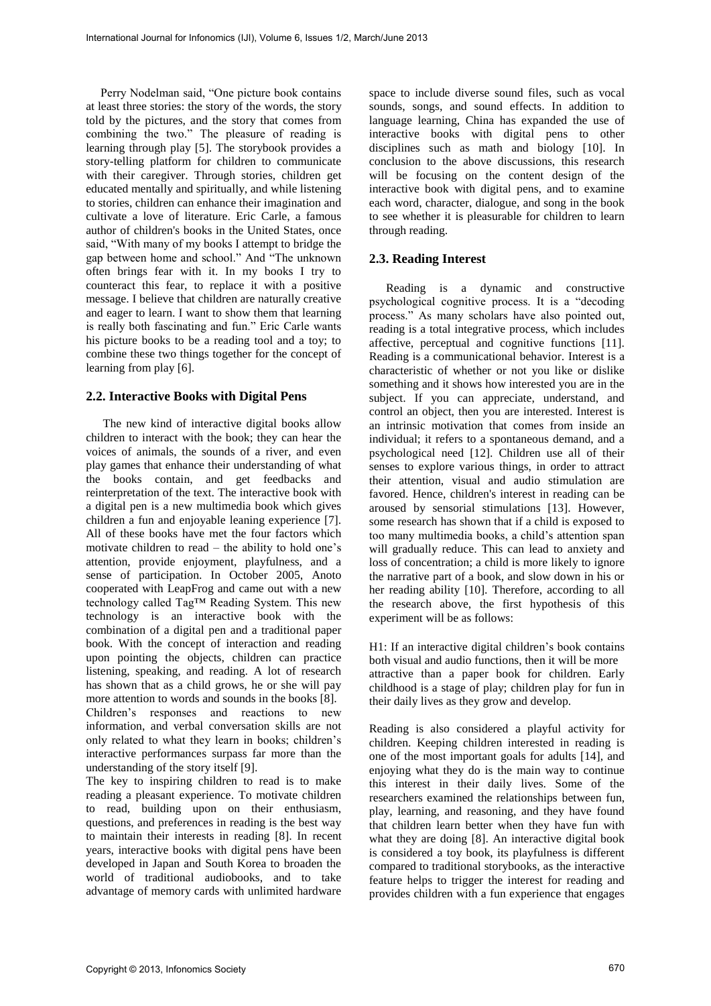Perry Nodelman said, "One picture book contains at least three stories: the story of the words, the story told by the pictures, and the story that comes from combining the two." The pleasure of reading is learning through play [5]. The storybook provides a story-telling platform for children to communicate with their caregiver. Through stories, children get educated mentally and spiritually, and while listening to stories, children can enhance their imagination and cultivate a love of literature. Eric Carle, a famous author of children's books in the United States, once said, "With many of my books I attempt to bridge the gap between home and school." And "The unknown often brings fear with it. In my books I try to counteract this fear, to replace it with a positive message. I believe that children are naturally creative and eager to learn. I want to show them that learning is really both fascinating and fun." Eric Carle wants his picture books to be a reading tool and a toy; to combine these two things together for the concept of learning from play [6].

#### **2.2. Interactive Books with Digital Pens**

The new kind of interactive digital books allow children to interact with the book; they can hear the voices of animals, the sounds of a river, and even play games that enhance their understanding of what the books contain, and get feedbacks and reinterpretation of the text. The interactive book with a digital pen is a new multimedia book which gives children a fun and enjoyable leaning experience [7]. All of these books have met the four factors which motivate children to read – the ability to hold one's attention, provide enjoyment, playfulness, and a sense of participation. In October 2005, Anoto cooperated with LeapFrog and came out with a new technology called Tag™ Reading System. This new technology is an interactive book with the combination of a digital pen and a traditional paper book. With the concept of interaction and reading upon pointing the objects, children can practice listening, speaking, and reading. A lot of research has shown that as a child grows, he or she will pay more attention to words and sounds in the books [8]. Children's responses and reactions to new information, and verbal conversation skills are not only related to what they learn in books; children's interactive performances surpass far more than the understanding of the story itself [9].

The key to inspiring children to read is to make reading a pleasant experience. To motivate children to read, building upon on their enthusiasm, questions, and preferences in reading is the best way to maintain their interests in reading [8]. In recent years, interactive books with digital pens have been developed in Japan and South Korea to broaden the world of traditional audiobooks, and to take advantage of memory cards with unlimited hardware

space to include diverse sound files, such as vocal sounds, songs, and sound effects. In addition to language learning, China has expanded the use of interactive books with digital pens to other disciplines such as math and biology [10]. In conclusion to the above discussions, this research will be focusing on the content design of the interactive book with digital pens, and to examine each word, character, dialogue, and song in the book to see whether it is pleasurable for children to learn through reading.

### **2.3. Reading Interest**

Reading is a dynamic and constructive psychological cognitive process. It is a "decoding process." As many scholars have also pointed out, reading is a total integrative process, which includes affective, perceptual and cognitive functions [11]. Reading is a communicational behavior. Interest is a characteristic of whether or not you like or dislike something and it shows how interested you are in the subject. If you can appreciate, understand, and control an object, then you are interested. Interest is an intrinsic motivation that comes from inside an individual; it refers to a spontaneous demand, and a psychological need [12]. Children use all of their senses to explore various things, in order to attract their attention, visual and audio stimulation are favored. Hence, children's interest in reading can be aroused by sensorial stimulations [13]. However, some research has shown that if a child is exposed to too many multimedia books, a child's attention span will gradually reduce. This can lead to anxiety and loss of concentration; a child is more likely to ignore the narrative part of a book, and slow down in his or her reading ability [10]. Therefore, according to all the research above, the first hypothesis of this experiment will be as follows:

H1: If an interactive digital children's book contains both visual and audio functions, then it will be more attractive than a paper book for children. Early childhood is a stage of play; children play for fun in their daily lives as they grow and develop.

Reading is also considered a playful activity for children. Keeping children interested in reading is one of the most important goals for adults [14], and enjoying what they do is the main way to continue this interest in their daily lives. Some of the researchers examined the relationships between fun, play, learning, and reasoning, and they have found that children learn better when they have fun with what they are doing [8]. An interactive digital book is considered a toy book, its playfulness is different compared to traditional storybooks, as the interactive feature helps to trigger the interest for reading and provides children with a fun experience that engages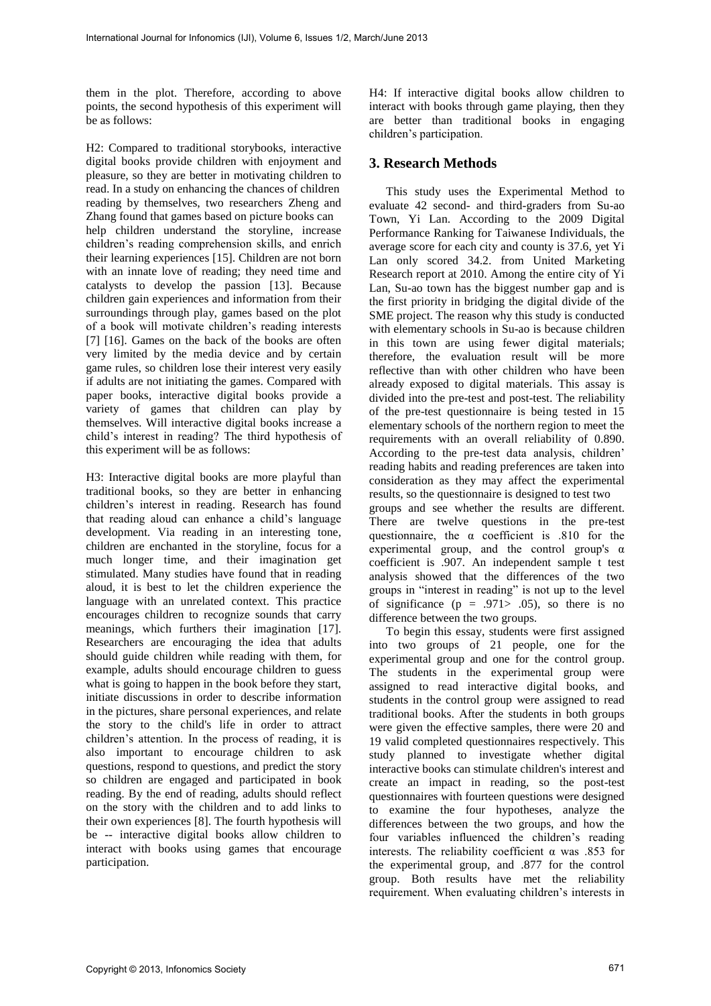them in the plot. Therefore, according to above points, the second hypothesis of this experiment will be as follows:

H2: Compared to traditional storybooks, interactive digital books provide children with enjoyment and pleasure, so they are better in motivating children to read. In a study on enhancing the chances of children reading by themselves, two researchers Zheng and Zhang found that games based on picture books can help children understand the storyline, increase children's reading comprehension skills, and enrich their learning experiences [15]. Children are not born with an innate love of reading; they need time and catalysts to develop the passion [13]. Because children gain experiences and information from their surroundings through play, games based on the plot of a book will motivate children's reading interests [7] [16]. Games on the back of the books are often very limited by the media device and by certain game rules, so children lose their interest very easily if adults are not initiating the games. Compared with paper books, interactive digital books provide a variety of games that children can play by themselves. Will interactive digital books increase a child's interest in reading? The third hypothesis of this experiment will be as follows:

H3: Interactive digital books are more playful than traditional books, so they are better in enhancing children's interest in reading. Research has found that reading aloud can enhance a child's language development. Via reading in an interesting tone, children are enchanted in the storyline, focus for a much longer time, and their imagination get stimulated. Many studies have found that in reading aloud, it is best to let the children experience the language with an unrelated context. This practice encourages children to recognize sounds that carry meanings, which furthers their imagination [17]. Researchers are encouraging the idea that adults should guide children while reading with them, for example, adults should encourage children to guess what is going to happen in the book before they start, initiate discussions in order to describe information in the pictures, share personal experiences, and relate the story to the child's life in order to attract children's attention. In the process of reading, it is also important to encourage children to ask questions, respond to questions, and predict the story so children are engaged and participated in book reading. By the end of reading, adults should reflect on the story with the children and to add links to their own experiences [8]. The fourth hypothesis will be -- interactive digital books allow children to interact with books using games that encourage participation.

H4: If interactive digital books allow children to interact with books through game playing, then they are better than traditional books in engaging children's participation.

# **3. Research Methods**

This study uses the Experimental Method to evaluate 42 second- and third-graders from Su-ao Town, Yi Lan. According to the 2009 Digital Performance Ranking for Taiwanese Individuals, the average score for each city and county is 37.6, yet Yi Lan only scored 34.2. from United Marketing Research report at 2010. Among the entire city of Yi Lan, Su-ao town has the biggest number gap and is the first priority in bridging the digital divide of the SME project. The reason why this study is conducted with elementary schools in Su-ao is because children in this town are using fewer digital materials; therefore, the evaluation result will be more reflective than with other children who have been already exposed to digital materials. This assay is divided into the pre-test and post-test. The reliability of the pre-test questionnaire is being tested in 15 elementary schools of the northern region to meet the requirements with an overall reliability of 0.890. According to the pre-test data analysis, children' reading habits and reading preferences are taken into consideration as they may affect the experimental results, so the questionnaire is designed to test two groups and see whether the results are different. There are twelve questions in the pre-test questionnaire, the  $\alpha$  coefficient is .810 for the experimental group, and the control group's  $\alpha$ coefficient is .907. An independent sample t test analysis showed that the differences of the two groups in "interest in reading" is not up to the level of significance  $(p = .971 > .05)$ , so there is no difference between the two groups.

To begin this essay, students were first assigned into two groups of 21 people, one for the experimental group and one for the control group. The students in the experimental group were assigned to read interactive digital books, and students in the control group were assigned to read traditional books. After the students in both groups were given the effective samples, there were 20 and 19 valid completed questionnaires respectively. This study planned to investigate whether digital interactive books can stimulate children's interest and create an impact in reading, so the post-test questionnaires with fourteen questions were designed to examine the four hypotheses, analyze the differences between the two groups, and how the four variables influenced the children's reading interests. The reliability coefficient  $\alpha$  was .853 for the experimental group, and .877 for the control group. Both results have met the reliability requirement. When evaluating children's interests in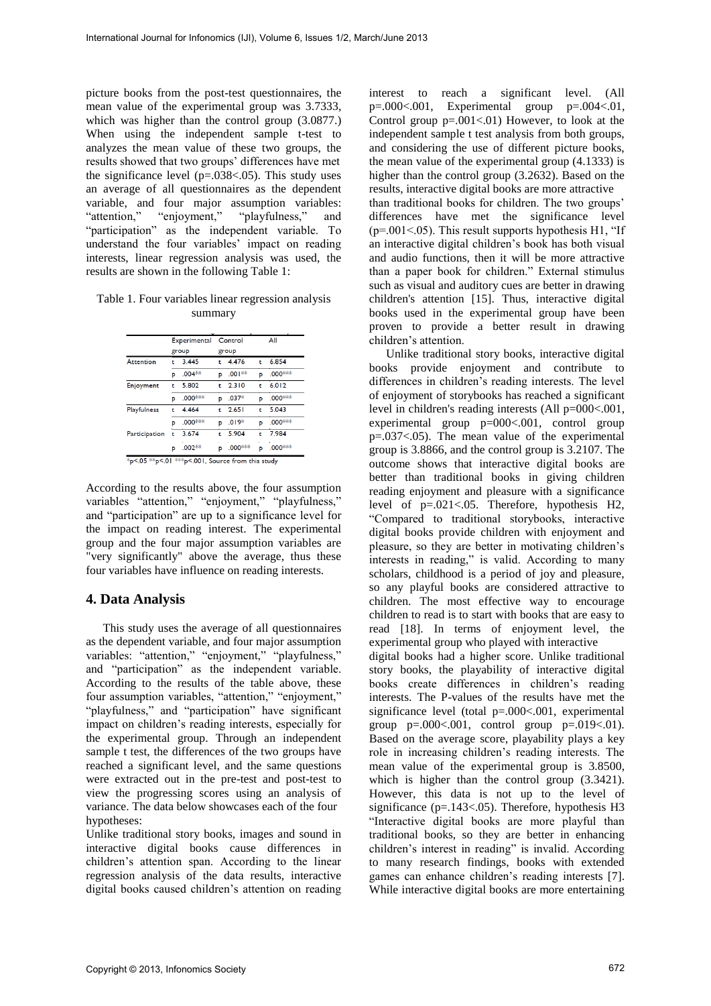picture books from the post-test questionnaires, the mean value of the experimental group was 3.7333, which was higher than the control group (3.0877.) When using the independent sample t-test to analyzes the mean value of these two groups, the results showed that two groups' differences have met the significance level (p=.038<.05). This study uses an average of all questionnaires as the dependent variable, and four major assumption variables:<br>"attention," "enjoyment," "playfulness," and "playfulness," and "participation" as the independent variable. To understand the four variables' impact on reading interests, linear regression analysis was used, the results are shown in the following Table 1:

Table 1. Four variables linear regression analysis summary

|                    | Experimental<br>group |          | Control<br>group |          | All |                     |
|--------------------|-----------------------|----------|------------------|----------|-----|---------------------|
|                    |                       |          |                  |          |     |                     |
| <b>Attention</b>   | ۴                     | 3.445    | ŧ                | 4.476    | ŧ.  | 6.854               |
|                    | Þ                     | $.004**$ | Þ                | $.001**$ | Þ   | .000***             |
| Enjoyment          | t                     | 5.802    | ŧ                | 2.310    | ŧ   | 6.012               |
|                    | Þ                     | .000***  | Þ                | $.037*$  | Þ   | .000***             |
| <b>Playfulness</b> | t                     | 4.464    | ÷                | 2.651    | ŧ   | 5.043               |
|                    | Þ                     | .000***  | Þ                | $.019*$  | p   | .000***             |
| Participation      | ۴                     | 3.674    | ŧ                | 5.904    | ŧ   | 7.984               |
|                    | P                     | $.002**$ | D                | .000***  | Þ   | .000 <sup>***</sup> |

\*p<.05 \*\*p<.01 \*\*\*p<.001, Source from this study

According to the results above, the four assumption variables "attention," "enjoyment," "playfulness," and "participation" are up to a significance level for the impact on reading interest. The experimental group and the four major assumption variables are "very significantly" above the average, thus these four variables have influence on reading interests.

#### **4. Data Analysis**

This study uses the average of all questionnaires as the dependent variable, and four major assumption variables: "attention," "enjoyment," "playfulness," and "participation" as the independent variable. According to the results of the table above, these four assumption variables, "attention," "enjoyment," "playfulness," and "participation" have significant impact on children's reading interests, especially for the experimental group. Through an independent sample t test, the differences of the two groups have reached a significant level, and the same questions were extracted out in the pre-test and post-test to view the progressing scores using an analysis of variance. The data below showcases each of the four hypotheses:

Unlike traditional story books, images and sound in interactive digital books cause differences in children's attention span. According to the linear regression analysis of the data results, interactive digital books caused children's attention on reading

interest to reach a significant level. (All p=.000<.001, Experimental group p=.004<.01, Control group  $p=.001-.01$ ) However, to look at the independent sample t test analysis from both groups, and considering the use of different picture books, the mean value of the experimental group (4.1333) is higher than the control group (3.2632). Based on the results, interactive digital books are more attractive than traditional books for children. The two groups' differences have met the significance level  $(p=.001<.05)$ . This result supports hypothesis H1, "If an interactive digital children's book has both visual and audio functions, then it will be more attractive than a paper book for children." External stimulus such as visual and auditory cues are better in drawing children's attention [15]. Thus, interactive digital books used in the experimental group have been proven to provide a better result in drawing children's attention.

Unlike traditional story books, interactive digital books provide enjoyment and contribute to differences in children's reading interests. The level of enjoyment of storybooks has reached a significant level in children's reading interests (All p=000<.001, experimental group p=000<.001, control group p=.037<.05). The mean value of the experimental group is 3.8866, and the control group is 3.2107. The outcome shows that interactive digital books are better than traditional books in giving children reading enjoyment and pleasure with a significance level of p=.021<.05. Therefore, hypothesis H2, "Compared to traditional storybooks, interactive digital books provide children with enjoyment and pleasure, so they are better in motivating children's interests in reading," is valid. According to many scholars, childhood is a period of joy and pleasure, so any playful books are considered attractive to children. The most effective way to encourage children to read is to start with books that are easy to read [18]. In terms of enjoyment level, the experimental group who played with interactive

digital books had a higher score. Unlike traditional story books, the playability of interactive digital books create differences in children's reading interests. The P-values of the results have met the significance level (total p=.000<.001, experimental group p=.000<.001, control group p=.019<.01). Based on the average score, playability plays a key role in increasing children's reading interests. The mean value of the experimental group is 3.8500, which is higher than the control group  $(3.3421)$ . However, this data is not up to the level of significance (p=.143<.05). Therefore, hypothesis H3 "Interactive digital books are more playful than traditional books, so they are better in enhancing children's interest in reading" is invalid. According to many research findings, books with extended games can enhance children's reading interests [7]. While interactive digital books are more entertaining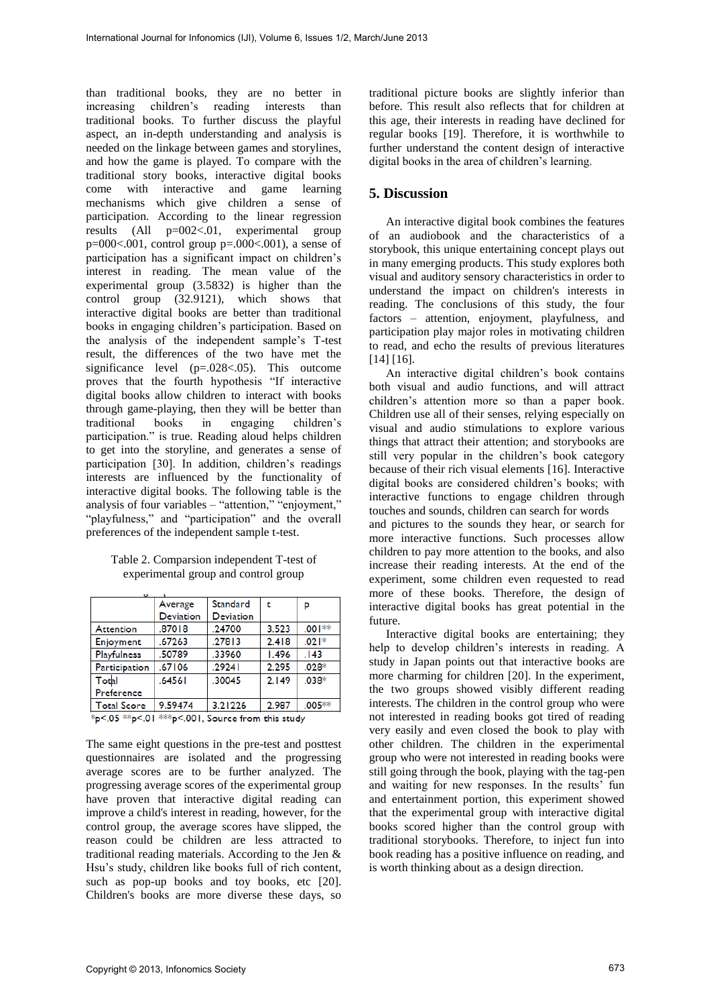than traditional books, they are no better in increasing children's reading interests than traditional books. To further discuss the playful aspect, an in-depth understanding and analysis is needed on the linkage between games and storylines, and how the game is played. To compare with the traditional story books, interactive digital books with interactive and game learning mechanisms which give children a sense of participation. According to the linear regression results (All p=002<.01, experimental group  $p=000<0.01$ , control group  $p=.000<0.001$ ), a sense of participation has a significant impact on children's interest in reading. The mean value of the experimental group (3.5832) is higher than the control group (32.9121), which shows that interactive digital books are better than traditional books in engaging children's participation. Based on the analysis of the independent sample's T-test result, the differences of the two have met the significance level (p=.028<.05). This outcome proves that the fourth hypothesis "If interactive digital books allow children to interact with books through game-playing, then they will be better than traditional books in engaging children's participation." is true. Reading aloud helps children to get into the storyline, and generates a sense of participation [30]. In addition, children's readings interests are influenced by the functionality of interactive digital books. The following table is the analysis of four variables – "attention," "enjoyment," "playfulness," and "participation" and the overall preferences of the independent sample t-test.

Table 2. Comparsion independent T-test of experimental group and control group

|                                                                                                                 | Average          | <b>Standard</b>  | ŧ     | P        |  |  |  |  |
|-----------------------------------------------------------------------------------------------------------------|------------------|------------------|-------|----------|--|--|--|--|
|                                                                                                                 | <b>Deviation</b> | <b>Deviation</b> |       |          |  |  |  |  |
| Attention                                                                                                       | .87018           | .24700           | 3.523 | $.001**$ |  |  |  |  |
| Enjoyment                                                                                                       | .67263           | .27813           | 2.418 | $.021*$  |  |  |  |  |
| <b>Playfulness</b>                                                                                              | .50789           | .33960           | 1.496 | .143     |  |  |  |  |
| Participation                                                                                                   | .67106           | .29241           | 2.295 | $.028*$  |  |  |  |  |
| Total                                                                                                           | .64561           | .30045           | 2.149 | $.038*$  |  |  |  |  |
| Preference                                                                                                      |                  |                  |       |          |  |  |  |  |
| <b>Total Score</b>                                                                                              | 9.59474          | 3.21226          | 2.987 | $.005**$ |  |  |  |  |
| the communication of the second contract of the contract of the contract of the contract of the contract of the |                  |                  |       |          |  |  |  |  |

\*p<.05 \*\*p<.01 \*\*\*p<.001, Source from this study

The same eight questions in the pre-test and posttest questionnaires are isolated and the progressing average scores are to be further analyzed. The progressing average scores of the experimental group have proven that interactive digital reading can improve a child's interest in reading, however, for the control group, the average scores have slipped, the reason could be children are less attracted to traditional reading materials. According to the Jen & Hsu's study, children like books full of rich content, such as pop-up books and toy books, etc [20]. Children's books are more diverse these days, so

traditional picture books are slightly inferior than before. This result also reflects that for children at this age, their interests in reading have declined for regular books [19]. Therefore, it is worthwhile to further understand the content design of interactive digital books in the area of children's learning.

### **5. Discussion**

An interactive digital book combines the features of an audiobook and the characteristics of a storybook, this unique entertaining concept plays out in many emerging products. This study explores both visual and auditory sensory characteristics in order to understand the impact on children's interests in reading. The conclusions of this study, the four factors – attention, enjoyment, playfulness, and participation play major roles in motivating children to read, and echo the results of previous literatures [14] [16].

An interactive digital children's book contains both visual and audio functions, and will attract children's attention more so than a paper book. Children use all of their senses, relying especially on visual and audio stimulations to explore various things that attract their attention; and storybooks are still very popular in the children's book category because of their rich visual elements [16]. Interactive digital books are considered children's books; with interactive functions to engage children through touches and sounds, children can search for words and pictures to the sounds they hear, or search for more interactive functions. Such processes allow children to pay more attention to the books, and also increase their reading interests. At the end of the experiment, some children even requested to read more of these books. Therefore, the design of interactive digital books has great potential in the future.

Interactive digital books are entertaining; they help to develop children's interests in reading. A study in Japan points out that interactive books are more charming for children [20]. In the experiment, the two groups showed visibly different reading interests. The children in the control group who were not interested in reading books got tired of reading very easily and even closed the book to play with other children. The children in the experimental group who were not interested in reading books were still going through the book, playing with the tag-pen and waiting for new responses. In the results' fun and entertainment portion, this experiment showed that the experimental group with interactive digital books scored higher than the control group with traditional storybooks. Therefore, to inject fun into book reading has a positive influence on reading, and is worth thinking about as a design direction.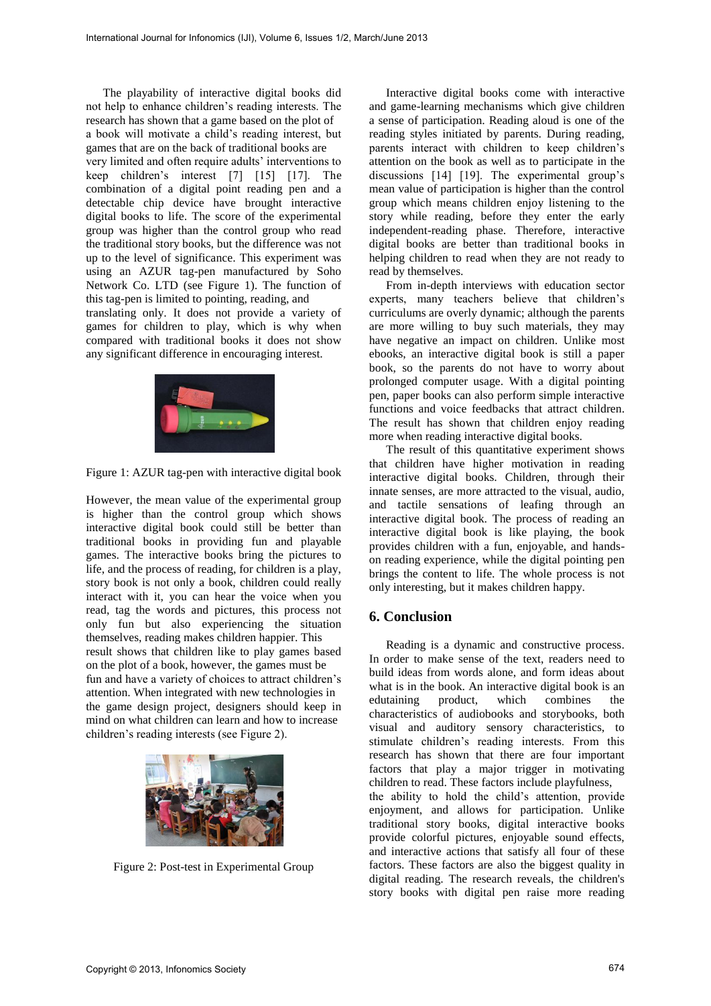The playability of interactive digital books did not help to enhance children's reading interests. The research has shown that a game based on the plot of a book will motivate a child's reading interest, but games that are on the back of traditional books are very limited and often require adults' interventions to keep children's interest [7] [15] [17]. The combination of a digital point reading pen and a detectable chip device have brought interactive digital books to life. The score of the experimental group was higher than the control group who read the traditional story books, but the difference was not up to the level of significance. This experiment was using an AZUR tag-pen manufactured by Soho Network Co. LTD (see Figure 1). The function of this tag-pen is limited to pointing, reading, and translating only. It does not provide a variety of games for children to play, which is why when compared with traditional books it does not show any significant difference in encouraging interest.



Figure 1: AZUR tag-pen with interactive digital book

However, the mean value of the experimental group is higher than the control group which shows interactive digital book could still be better than traditional books in providing fun and playable games. The interactive books bring the pictures to life, and the process of reading, for children is a play, story book is not only a book, children could really interact with it, you can hear the voice when you read, tag the words and pictures, this process not only fun but also experiencing the situation themselves, reading makes children happier. This result shows that children like to play games based on the plot of a book, however, the games must be fun and have a variety of choices to attract children's attention. When integrated with new technologies in the game design project, designers should keep in mind on what children can learn and how to increase children's reading interests (see Figure 2).



Figure 2: Post-test in Experimental Group

Interactive digital books come with interactive and game-learning mechanisms which give children a sense of participation. Reading aloud is one of the reading styles initiated by parents. During reading, parents interact with children to keep children's attention on the book as well as to participate in the discussions [14] [19]. The experimental group's mean value of participation is higher than the control group which means children enjoy listening to the story while reading, before they enter the early independent-reading phase. Therefore, interactive digital books are better than traditional books in helping children to read when they are not ready to read by themselves.

From in-depth interviews with education sector experts, many teachers believe that children's curriculums are overly dynamic; although the parents are more willing to buy such materials, they may have negative an impact on children. Unlike most ebooks, an interactive digital book is still a paper book, so the parents do not have to worry about prolonged computer usage. With a digital pointing pen, paper books can also perform simple interactive functions and voice feedbacks that attract children. The result has shown that children enjoy reading more when reading interactive digital books.

The result of this quantitative experiment shows that children have higher motivation in reading interactive digital books. Children, through their innate senses, are more attracted to the visual, audio, and tactile sensations of leafing through an interactive digital book. The process of reading an interactive digital book is like playing, the book provides children with a fun, enjoyable, and handson reading experience, while the digital pointing pen brings the content to life. The whole process is not only interesting, but it makes children happy.

### **6. Conclusion**

Reading is a dynamic and constructive process. In order to make sense of the text, readers need to build ideas from words alone, and form ideas about what is in the book. An interactive digital book is an edutaining product, which combines the characteristics of audiobooks and storybooks, both visual and auditory sensory characteristics, to stimulate children's reading interests. From this research has shown that there are four important factors that play a major trigger in motivating children to read. These factors include playfulness, the ability to hold the child's attention, provide enjoyment, and allows for participation. Unlike traditional story books, digital interactive books provide colorful pictures, enjoyable sound effects, and interactive actions that satisfy all four of these factors. These factors are also the biggest quality in digital reading. The research reveals, the children's story books with digital pen raise more reading